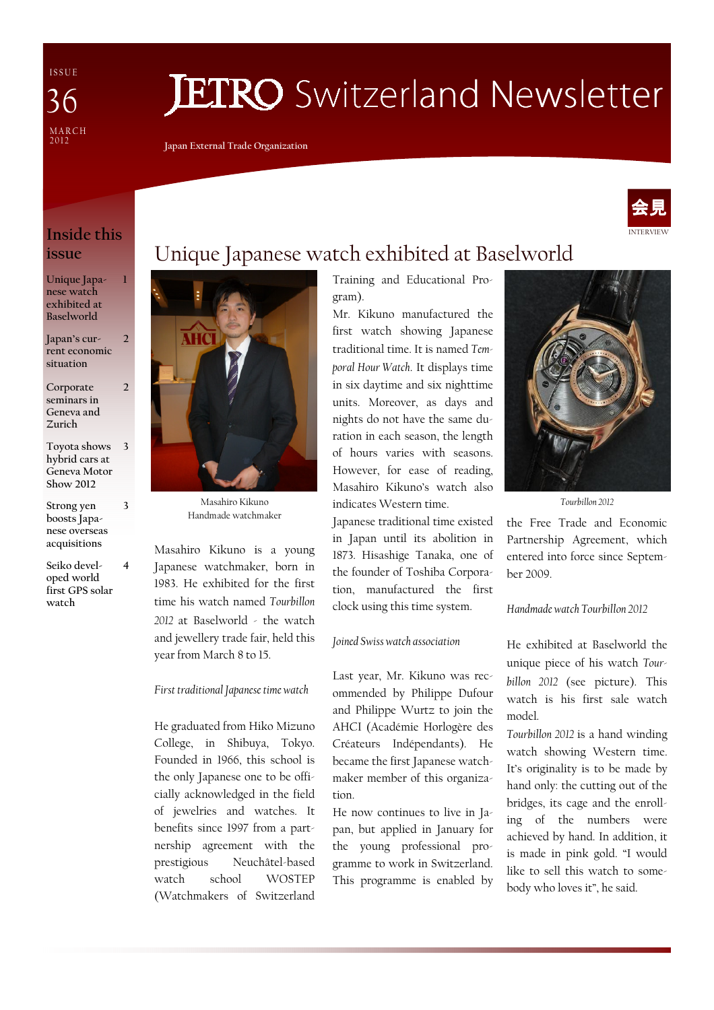I S S U E MARCH<br>2012 36

# **JETRO** Switzerland Newsletter

Japan External Trade Organization



## Inside this issue

1

 $\overline{\phantom{a}}$ 

2

4

3

Unique Japanese watch exhibited at Baselworld

Japan's current economic situation

Corporate seminars in Geneva and Zurich

Toyota shows hybrid cars at Geneva Motor Show 2012 3

Strong yen boosts Japanese overseas acquisitions

Seiko developed world first GPS solar watch



Masahiro Kikuno Handmade watchmaker

Masahiro Kikuno is a young Japanese watchmaker, born in 1983. He exhibited for the first time his watch named Tourbillon 2012 at Baselworld - the watch and jewellery trade fair, held this year from March 8 to 15.

First traditional Japanese time watch

He graduated from Hiko Mizuno College, in Shibuya, Tokyo. Founded in 1966, this school is the only Japanese one to be officially acknowledged in the field of jewelries and watches. It benefits since 1997 from a partnership agreement with the prestigious Neuchâtel-based watch school WOSTEP (Watchmakers of Switzerland

# Unique Japanese watch exhibited at Baselworld

Training and Educational Program). Mr. Kikuno manufactured the

first watch showing Japanese traditional time. It is named Temporal Hour Watch. It displays time in six daytime and six nighttime units. Moreover, as days and nights do not have the same duration in each season, the length of hours varies with seasons. However, for ease of reading, Masahiro Kikuno's watch also indicates Western time.

Japanese traditional time existed in Japan until its abolition in 1873. Hisashige Tanaka, one of the founder of Toshiba Corporation, manufactured the first clock using this time system.

Joined Swiss watch association

Last year, Mr. Kikuno was recommended by Philippe Dufour and Philippe Wurtz to join the AHCI (Académie Horlogère des Créateurs Indépendants). He became the first Japanese watchmaker member of this organization.

He now continues to live in Japan, but applied in January for the young professional programme to work in Switzerland. This programme is enabled by



Tourbillon 2012

the Free Trade and Economic Partnership Agreement, which entered into force since September 2009.

#### Handmade watch Tourbillon 2012

He exhibited at Baselworld the unique piece of his watch Tourbillon 2012 (see picture). This watch is his first sale watch model.

Tourbillon 2012 is a hand winding watch showing Western time. It's originality is to be made by hand only: the cutting out of the bridges, its cage and the enrolling of the numbers were achieved by hand. In addition, it is made in pink gold. "I would like to sell this watch to somebody who loves it", he said.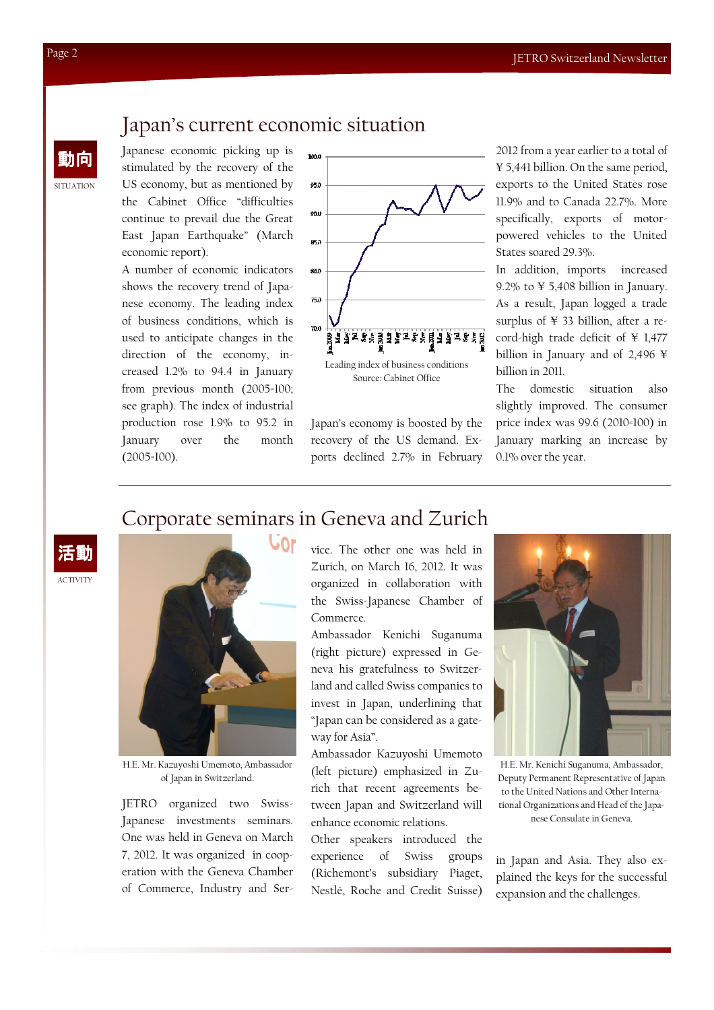# Japan's current economic situation

Japanese economic picking up is stimulated by the recovery of the US economy, but as mentioned by the Cabinet Office "difficulties continue to prevail due the Great East Japan Earthquake" (March economic report).

A number of economic indicators shows the recovery trend of Japanese economy. The leading index of business conditions, which is used to anticipate changes in the direction of the economy, increased 1.2% to 94.4 in January from previous month (2005=100; see graph). The index of industrial production rose 1.9% to 95.2 in January over the month (2005=100).



Source: Cabinet Office

Japan's economy is boosted by the recovery of the US demand. Exports declined 2.7% in February 2012 from a year earlier to a total of ¥ 5,441 billion. On the same period, exports to the United States rose 11.9% and to Canada 22.7%. More specifically, exports of motorpowered vehicles to the United States soared 29.3%.

In addition, imports increased 9.2% to ¥ 5,408 billion in January. As a result, Japan logged a trade surplus of ¥ 33 billion, after a record-high trade deficit of ¥ 1,477 billion in January and of 2,496 ¥ billion in 2011.

The domestic situation also slightly improved. The consumer price index was 99.6 (2010=100) in January marking an increase by 0.1% over the year.

## Corporate seminars in Geneva and Zurich

**ACTIVITY** 活動



H.E. Mr. Kazuyoshi Umemoto, Ambassador of Japan in Switzerland.

JETRO organized two Swiss-Japanese investments seminars. One was held in Geneva on March 7, 2012. It was organized in cooperation with the Geneva Chamber of Commerce, Industry and Service. The other one was held in Zurich, on March 16, 2012. It was organized in collaboration with the Swiss-Japanese Chamber of Commerce.

Ambassador Kenichi Suganuma (right picture) expressed in Geneva his gratefulness to Switzerland and called Swiss companies to invest in Japan, underlining that "Japan can be considered as a gateway for Asia".

Ambassador Kazuyoshi Umemoto (left picture) emphasized in Zurich that recent agreements between Japan and Switzerland will enhance economic relations.

Other speakers introduced the experience of Swiss groups (Richemont's subsidiary Piaget, Nestlé, Roche and Credit Suisse)



H.E. Mr. Kenichi Suganuma, Ambassador, Deputy Permanent Representative of Japan to the United Nations and Other International Organizations and Head of the Japanese Consulate in Geneva.

in Japan and Asia. They also explained the keys for the successful expansion and the challenges.

SITUATION

動向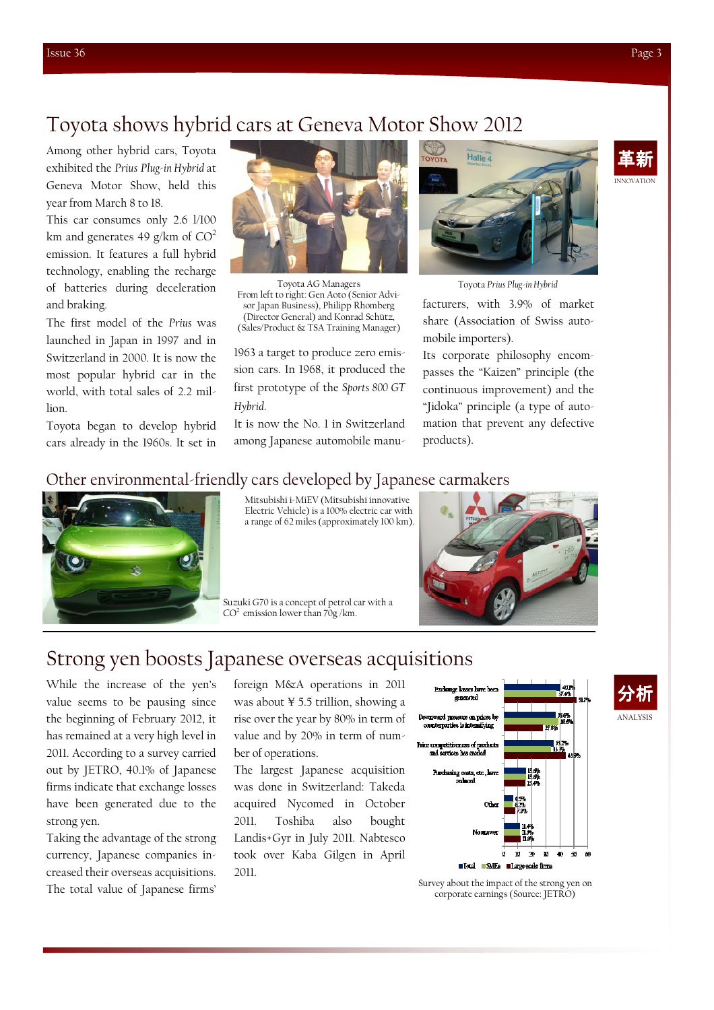# Toyota shows hybrid cars at Geneva Motor Show 2012

Among other hybrid cars, Toyota exhibited the Prius Plug-in Hybrid at Geneva Motor Show, held this year from March 8 to 18.

This car consumes only 2.6 l/100 km and generates 49 g/km of  $CO<sup>2</sup>$ emission. It features a full hybrid technology, enabling the recharge of batteries during deceleration and braking.

The first model of the Prius was launched in Japan in 1997 and in Switzerland in 2000. It is now the most popular hybrid car in the world, with total sales of 2.2 million.

Toyota began to develop hybrid cars already in the 1960s. It set in



Toyota AG Managers From left to right: Gen Aoto (Senior Advisor Japan Business), Philipp Rhomberg (Director General) and Konrad Schütz, (Sales/Product & TSA Training Manager)

1963 a target to produce zero emission cars. In 1968, it produced the first prototype of the Sports 800 GT Hybrid.

It is now the No. 1 in Switzerland among Japanese automobile manu-



Toyota Prius Plug-in Hybrid

facturers, with 3.9% of market share (Association of Swiss automobile importers).

Its corporate philosophy encompasses the "Kaizen" principle (the continuous improvement) and the "Jidoka" principle (a type of automation that prevent any defective products).

### Other environmental-friendly cars developed by Japanese carmakers



Mitsubishi i-MiEV (Mitsubishi innovative Electric Vehicle) is a 100% electric car with a range of 62 miles (approximately 100 km).

Suzuki G70 is a concept of petrol car with a  $CO<sup>2</sup>$  emission lower than  $70g$  /km.



# Strong yen boosts Japanese overseas acquisitions

While the increase of the yen's value seems to be pausing since the beginning of February 2012, it has remained at a very high level in 2011. According to a survey carried out by JETRO, 40.1% of Japanese firms indicate that exchange losses have been generated due to the strong yen.

Taking the advantage of the strong currency, Japanese companies increased their overseas acquisitions. The total value of Japanese firms'

foreign M&A operations in 2011 was about ¥ 5.5 trillion, showing a rise over the year by 80% in term of value and by 20% in term of number of operations.

The largest Japanese acquisition was done in Switzerland: Takeda acquired Nycomed in October 2011. Toshiba also bought Landis+Gyr in July 2011. Nabtesco took over Kaba Gilgen in April 2011.



Survey about the impact of the strong yen on corporate earnings (Source: JETRO)



ANALYSIS

分析